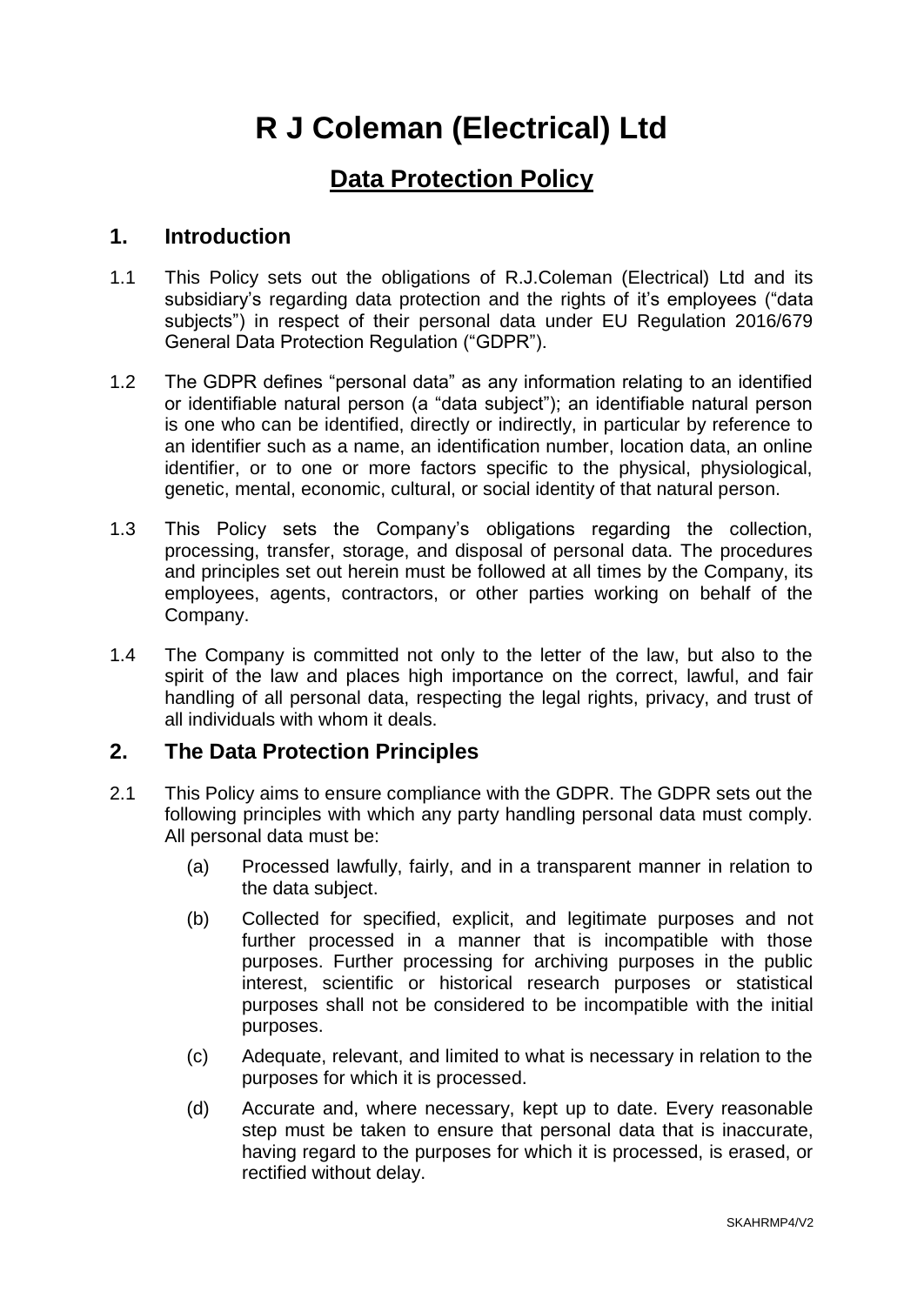# **R J Coleman (Electrical) Ltd**

# **Data Protection Policy**

### **1. Introduction**

- 1.1 This Policy sets out the obligations of R.J.Coleman (Electrical) Ltd and its subsidiary's regarding data protection and the rights of it's employees ("data subjects") in respect of their personal data under EU Regulation 2016/679 General Data Protection Regulation ("GDPR").
- 1.2 The GDPR defines "personal data" as any information relating to an identified or identifiable natural person (a "data subject"); an identifiable natural person is one who can be identified, directly or indirectly, in particular by reference to an identifier such as a name, an identification number, location data, an online identifier, or to one or more factors specific to the physical, physiological, genetic, mental, economic, cultural, or social identity of that natural person.
- 1.3 This Policy sets the Company's obligations regarding the collection, processing, transfer, storage, and disposal of personal data. The procedures and principles set out herein must be followed at all times by the Company, its employees, agents, contractors, or other parties working on behalf of the Company.
- 1.4 The Company is committed not only to the letter of the law, but also to the spirit of the law and places high importance on the correct, lawful, and fair handling of all personal data, respecting the legal rights, privacy, and trust of all individuals with whom it deals.

# **2. The Data Protection Principles**

- 2.1 This Policy aims to ensure compliance with the GDPR. The GDPR sets out the following principles with which any party handling personal data must comply. All personal data must be:
	- (a) Processed lawfully, fairly, and in a transparent manner in relation to the data subject.
	- (b) Collected for specified, explicit, and legitimate purposes and not further processed in a manner that is incompatible with those purposes. Further processing for archiving purposes in the public interest, scientific or historical research purposes or statistical purposes shall not be considered to be incompatible with the initial purposes.
	- (c) Adequate, relevant, and limited to what is necessary in relation to the purposes for which it is processed.
	- (d) Accurate and, where necessary, kept up to date. Every reasonable step must be taken to ensure that personal data that is inaccurate, having regard to the purposes for which it is processed, is erased, or rectified without delay.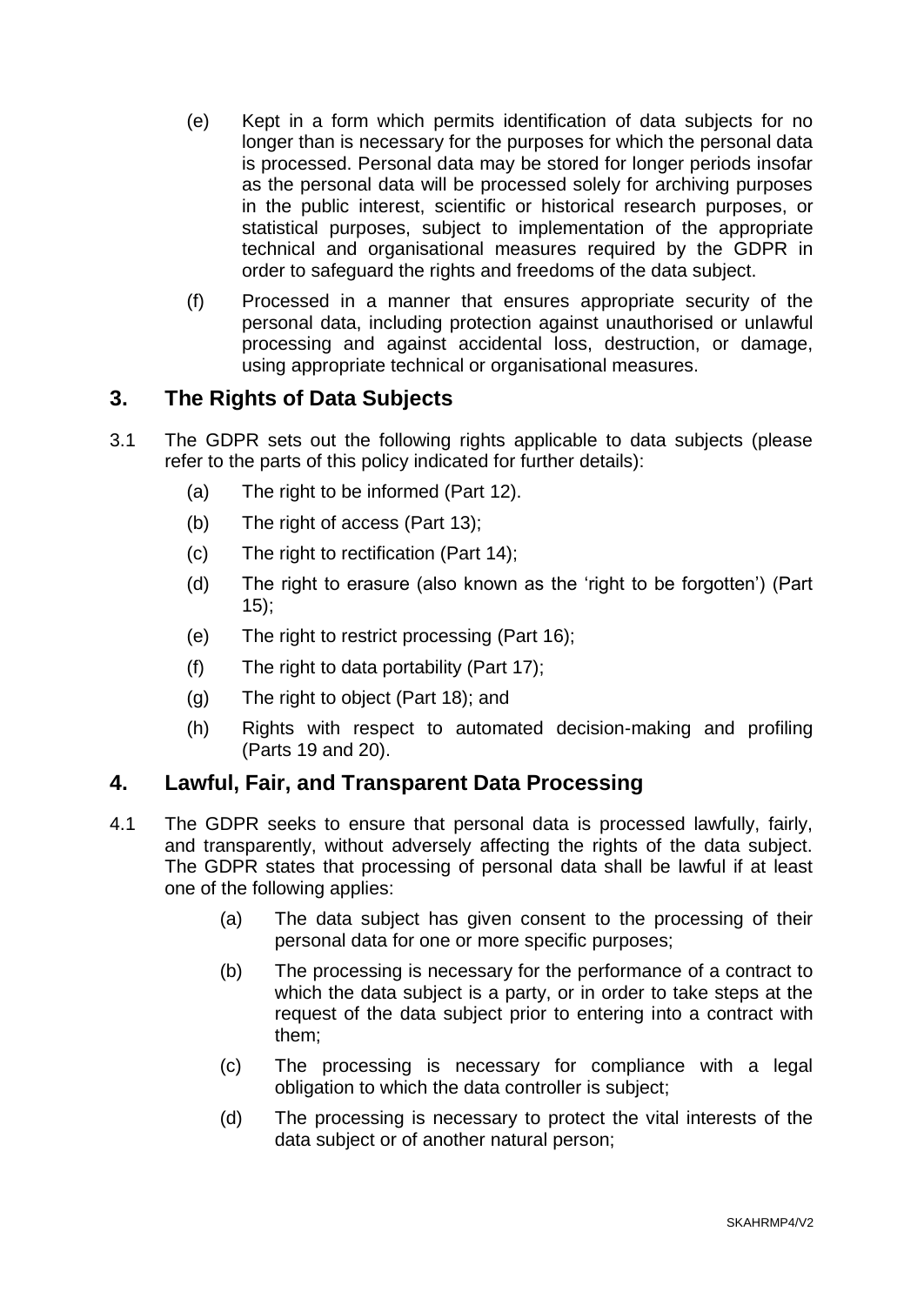- (e) Kept in a form which permits identification of data subjects for no longer than is necessary for the purposes for which the personal data is processed. Personal data may be stored for longer periods insofar as the personal data will be processed solely for archiving purposes in the public interest, scientific or historical research purposes, or statistical purposes, subject to implementation of the appropriate technical and organisational measures required by the GDPR in order to safeguard the rights and freedoms of the data subject.
- (f) Processed in a manner that ensures appropriate security of the personal data, including protection against unauthorised or unlawful processing and against accidental loss, destruction, or damage, using appropriate technical or organisational measures.

# **3. The Rights of Data Subjects**

- 3.1 The GDPR sets out the following rights applicable to data subjects (please refer to the parts of this policy indicated for further details):
	- (a) The right to be informed (Part 12).
	- (b) The right of access (Part 13);
	- (c) The right to rectification (Part 14);
	- (d) The right to erasure (also known as the 'right to be forgotten') (Part 15);
	- (e) The right to restrict processing (Part 16);
	- (f) The right to data portability (Part 17);
	- (g) The right to object (Part 18); and
	- (h) Rights with respect to automated decision-making and profiling (Parts 19 and 20).

# **4. Lawful, Fair, and Transparent Data Processing**

- 4.1 The GDPR seeks to ensure that personal data is processed lawfully, fairly, and transparently, without adversely affecting the rights of the data subject. The GDPR states that processing of personal data shall be lawful if at least one of the following applies:
	- (a) The data subject has given consent to the processing of their personal data for one or more specific purposes;
	- (b) The processing is necessary for the performance of a contract to which the data subject is a party, or in order to take steps at the request of the data subject prior to entering into a contract with them;
	- (c) The processing is necessary for compliance with a legal obligation to which the data controller is subject;
	- (d) The processing is necessary to protect the vital interests of the data subject or of another natural person;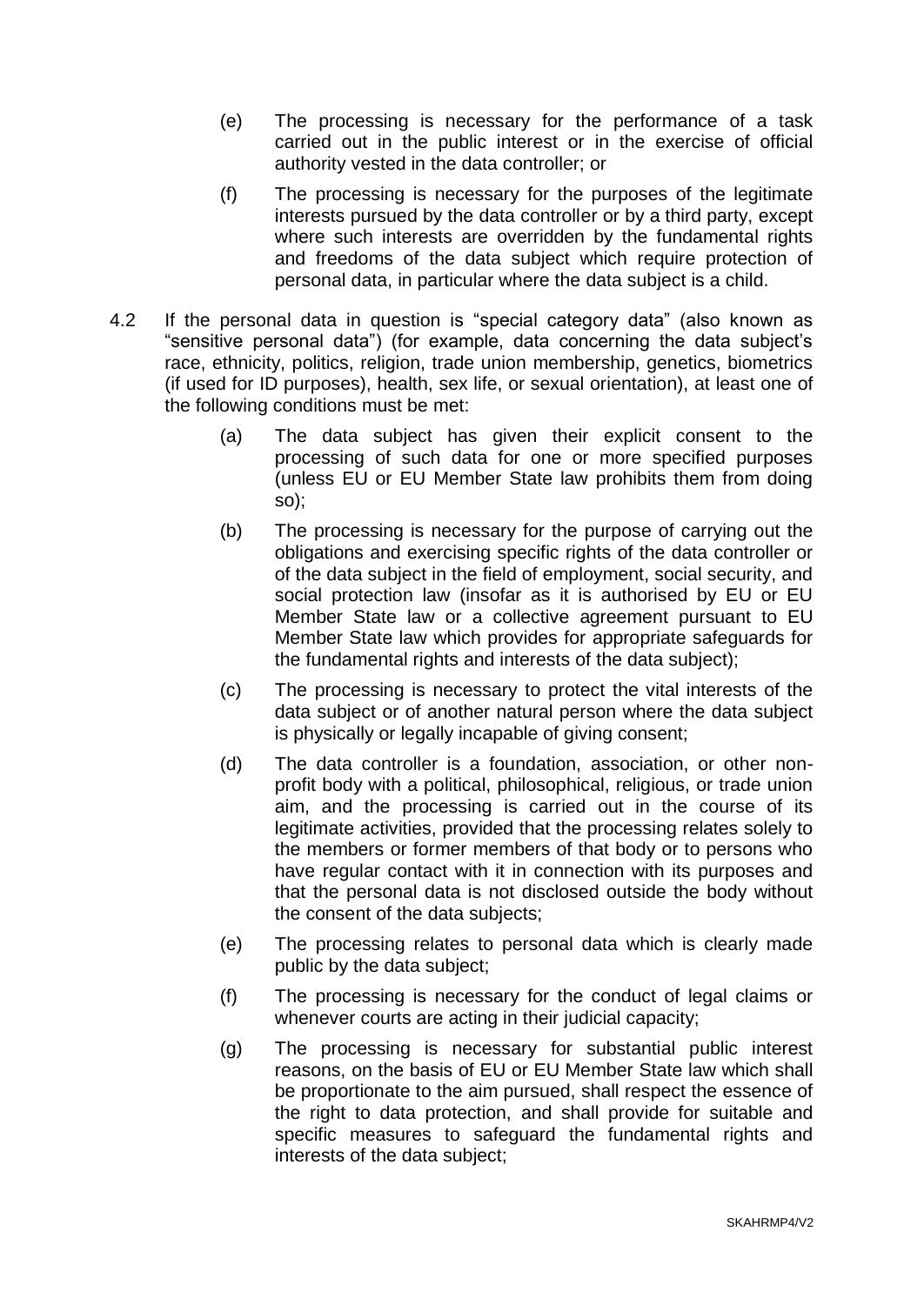- (e) The processing is necessary for the performance of a task carried out in the public interest or in the exercise of official authority vested in the data controller; or
- (f) The processing is necessary for the purposes of the legitimate interests pursued by the data controller or by a third party, except where such interests are overridden by the fundamental rights and freedoms of the data subject which require protection of personal data, in particular where the data subject is a child.
- 4.2 If the personal data in question is "special category data" (also known as "sensitive personal data") (for example, data concerning the data subject's race, ethnicity, politics, religion, trade union membership, genetics, biometrics (if used for ID purposes), health, sex life, or sexual orientation), at least one of the following conditions must be met:
	- (a) The data subject has given their explicit consent to the processing of such data for one or more specified purposes (unless EU or EU Member State law prohibits them from doing so);
	- (b) The processing is necessary for the purpose of carrying out the obligations and exercising specific rights of the data controller or of the data subject in the field of employment, social security, and social protection law (insofar as it is authorised by EU or EU Member State law or a collective agreement pursuant to EU Member State law which provides for appropriate safeguards for the fundamental rights and interests of the data subject);
	- (c) The processing is necessary to protect the vital interests of the data subject or of another natural person where the data subject is physically or legally incapable of giving consent;
	- (d) The data controller is a foundation, association, or other nonprofit body with a political, philosophical, religious, or trade union aim, and the processing is carried out in the course of its legitimate activities, provided that the processing relates solely to the members or former members of that body or to persons who have regular contact with it in connection with its purposes and that the personal data is not disclosed outside the body without the consent of the data subjects;
	- (e) The processing relates to personal data which is clearly made public by the data subject;
	- (f) The processing is necessary for the conduct of legal claims or whenever courts are acting in their judicial capacity;
	- (g) The processing is necessary for substantial public interest reasons, on the basis of EU or EU Member State law which shall be proportionate to the aim pursued, shall respect the essence of the right to data protection, and shall provide for suitable and specific measures to safeguard the fundamental rights and interests of the data subject;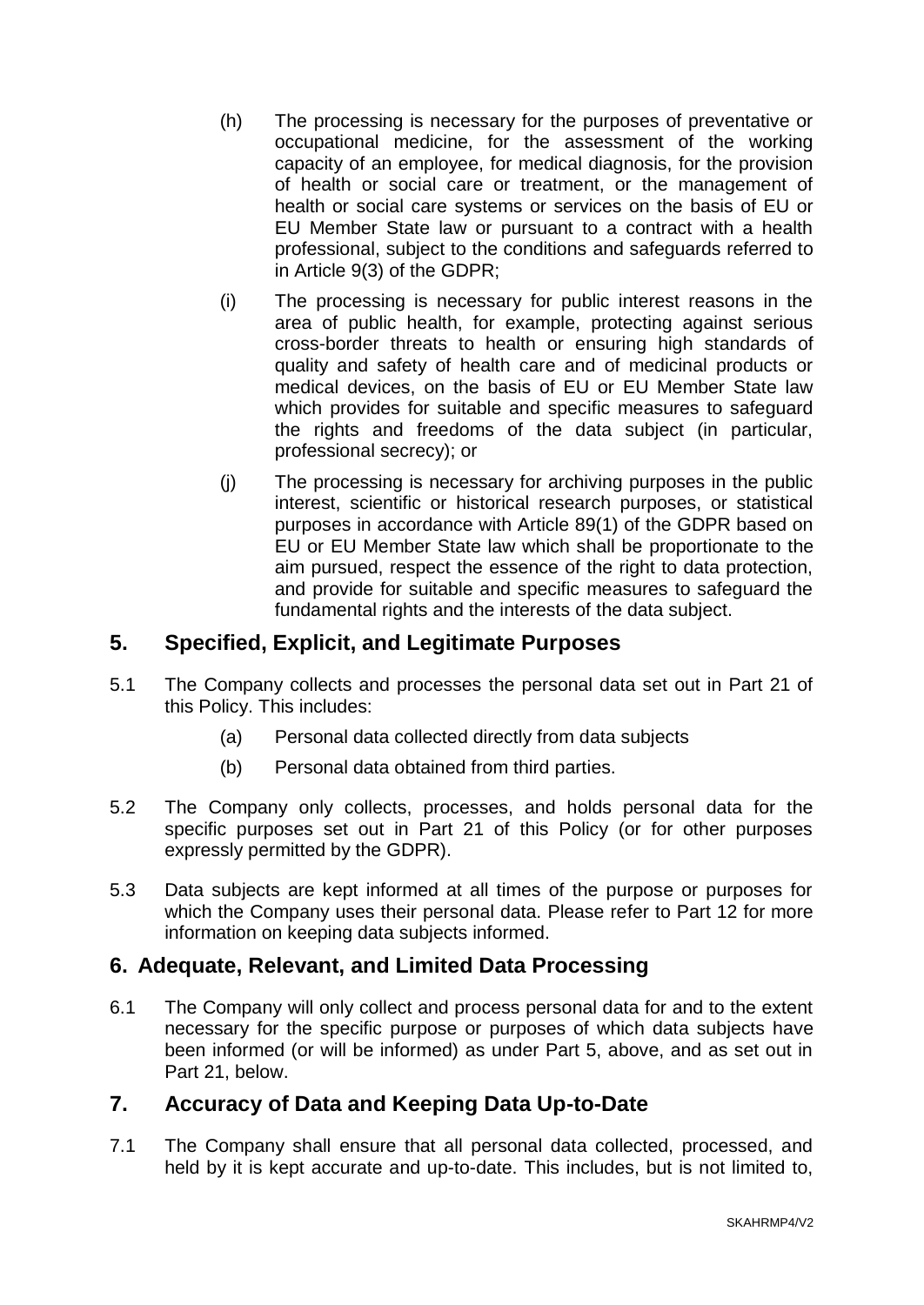- (h) The processing is necessary for the purposes of preventative or occupational medicine, for the assessment of the working capacity of an employee, for medical diagnosis, for the provision of health or social care or treatment, or the management of health or social care systems or services on the basis of EU or EU Member State law or pursuant to a contract with a health professional, subject to the conditions and safeguards referred to in Article 9(3) of the GDPR;
- (i) The processing is necessary for public interest reasons in the area of public health, for example, protecting against serious cross-border threats to health or ensuring high standards of quality and safety of health care and of medicinal products or medical devices, on the basis of EU or EU Member State law which provides for suitable and specific measures to safeguard the rights and freedoms of the data subject (in particular, professional secrecy); or
- (j) The processing is necessary for archiving purposes in the public interest, scientific or historical research purposes, or statistical purposes in accordance with Article 89(1) of the GDPR based on EU or EU Member State law which shall be proportionate to the aim pursued, respect the essence of the right to data protection, and provide for suitable and specific measures to safeguard the fundamental rights and the interests of the data subject.

# **5. Specified, Explicit, and Legitimate Purposes**

- 5.1 The Company collects and processes the personal data set out in Part 21 of this Policy. This includes:
	- (a) Personal data collected directly from data subjects
	- (b) Personal data obtained from third parties.
- 5.2 The Company only collects, processes, and holds personal data for the specific purposes set out in Part 21 of this Policy (or for other purposes expressly permitted by the GDPR).
- 5.3 Data subjects are kept informed at all times of the purpose or purposes for which the Company uses their personal data. Please refer to Part 12 for more information on keeping data subjects informed.

# **6. Adequate, Relevant, and Limited Data Processing**

6.1 The Company will only collect and process personal data for and to the extent necessary for the specific purpose or purposes of which data subjects have been informed (or will be informed) as under Part 5, above, and as set out in Part 21, below.

# **7. Accuracy of Data and Keeping Data Up-to-Date**

7.1 The Company shall ensure that all personal data collected, processed, and held by it is kept accurate and up-to-date. This includes, but is not limited to,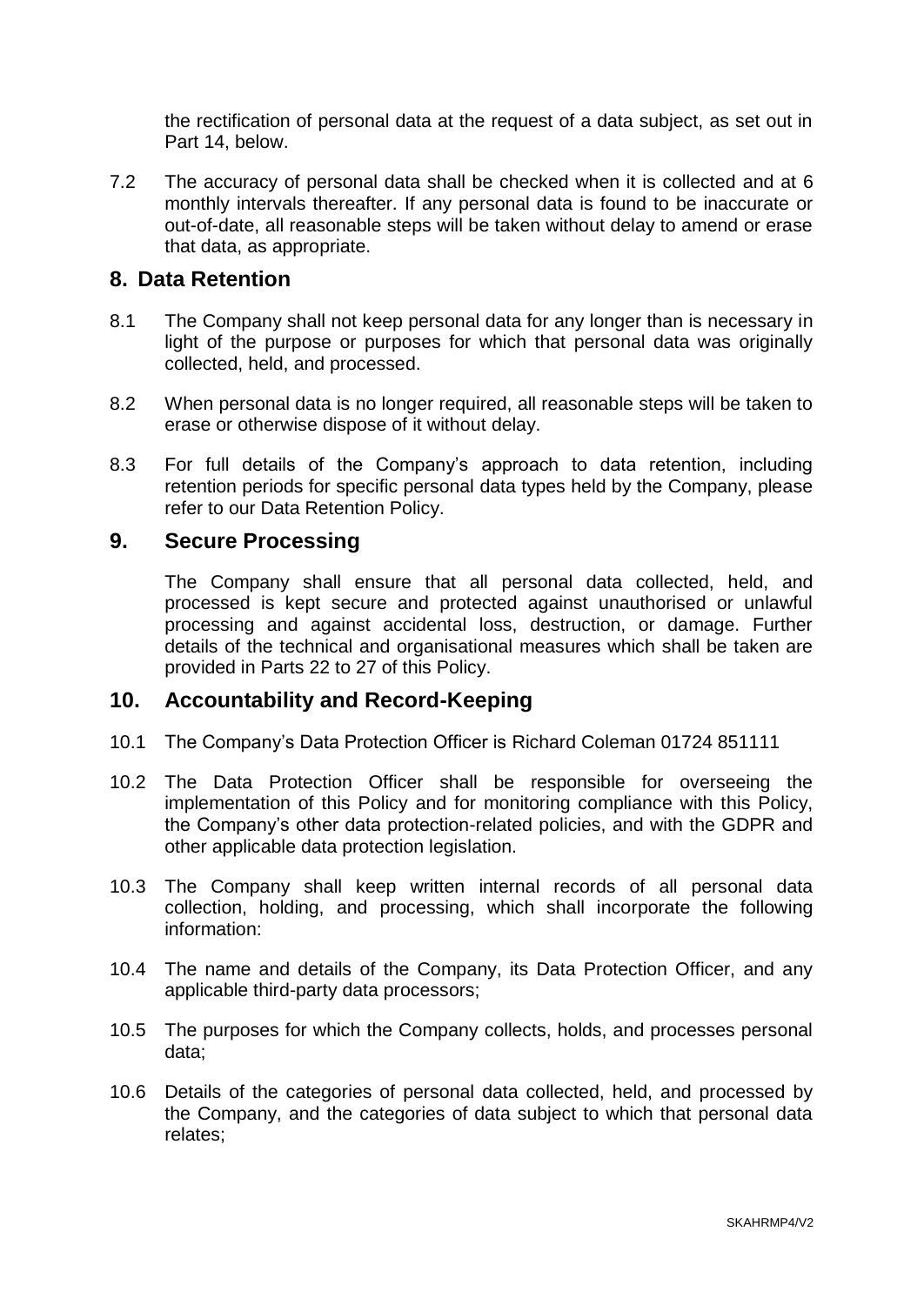the rectification of personal data at the request of a data subject, as set out in Part 14, below.

7.2 The accuracy of personal data shall be checked when it is collected and at 6 monthly intervals thereafter. If any personal data is found to be inaccurate or out-of-date, all reasonable steps will be taken without delay to amend or erase that data, as appropriate.

#### **8. Data Retention**

- 8.1 The Company shall not keep personal data for any longer than is necessary in light of the purpose or purposes for which that personal data was originally collected, held, and processed.
- 8.2 When personal data is no longer required, all reasonable steps will be taken to erase or otherwise dispose of it without delay.
- 8.3 For full details of the Company's approach to data retention, including retention periods for specific personal data types held by the Company, please refer to our Data Retention Policy.

#### **9. Secure Processing**

The Company shall ensure that all personal data collected, held, and processed is kept secure and protected against unauthorised or unlawful processing and against accidental loss, destruction, or damage. Further details of the technical and organisational measures which shall be taken are provided in Parts 22 to 27 of this Policy.

#### **10. Accountability and Record-Keeping**

- 10.1 The Company's Data Protection Officer is Richard Coleman 01724 851111
- 10.2 The Data Protection Officer shall be responsible for overseeing the implementation of this Policy and for monitoring compliance with this Policy, the Company's other data protection-related policies, and with the GDPR and other applicable data protection legislation.
- 10.3 The Company shall keep written internal records of all personal data collection, holding, and processing, which shall incorporate the following information:
- 10.4 The name and details of the Company, its Data Protection Officer, and any applicable third-party data processors;
- 10.5 The purposes for which the Company collects, holds, and processes personal data;
- 10.6 Details of the categories of personal data collected, held, and processed by the Company, and the categories of data subject to which that personal data relates;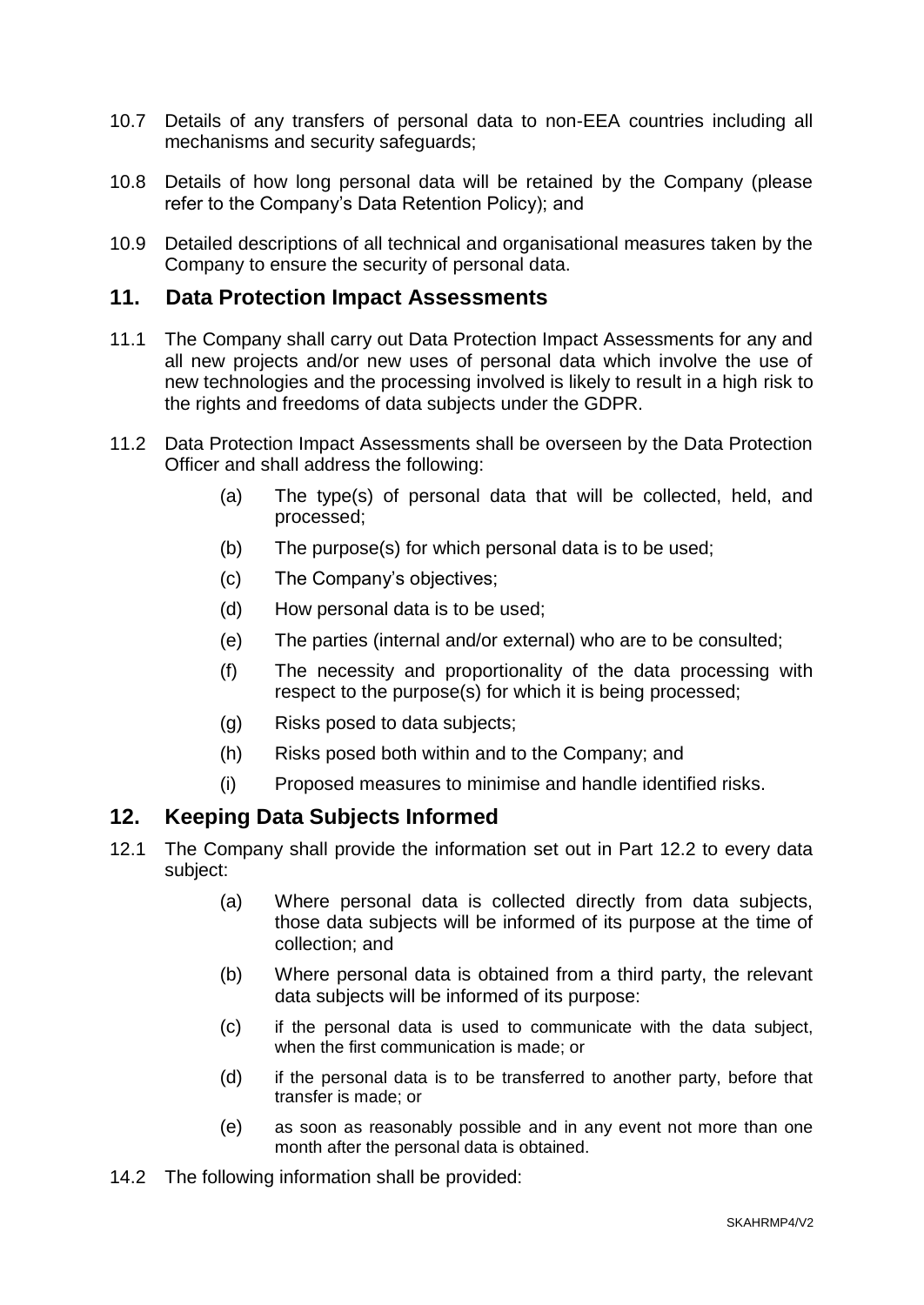- 10.7 Details of any transfers of personal data to non-EEA countries including all mechanisms and security safeguards;
- 10.8 Details of how long personal data will be retained by the Company (please refer to the Company's Data Retention Policy); and
- 10.9 Detailed descriptions of all technical and organisational measures taken by the Company to ensure the security of personal data.

#### **11. Data Protection Impact Assessments**

- 11.1 The Company shall carry out Data Protection Impact Assessments for any and all new projects and/or new uses of personal data which involve the use of new technologies and the processing involved is likely to result in a high risk to the rights and freedoms of data subjects under the GDPR.
- 11.2 Data Protection Impact Assessments shall be overseen by the Data Protection Officer and shall address the following:
	- (a) The type(s) of personal data that will be collected, held, and processed;
	- (b) The purpose(s) for which personal data is to be used;
	- (c) The Company's objectives;
	- (d) How personal data is to be used;
	- (e) The parties (internal and/or external) who are to be consulted;
	- (f) The necessity and proportionality of the data processing with respect to the purpose(s) for which it is being processed;
	- (g) Risks posed to data subjects;
	- (h) Risks posed both within and to the Company; and
	- (i) Proposed measures to minimise and handle identified risks.

# **12. Keeping Data Subjects Informed**

- 12.1 The Company shall provide the information set out in Part 12.2 to every data subject:
	- (a) Where personal data is collected directly from data subjects, those data subjects will be informed of its purpose at the time of collection; and
	- (b) Where personal data is obtained from a third party, the relevant data subjects will be informed of its purpose:
	- (c) if the personal data is used to communicate with the data subject, when the first communication is made; or
	- (d) if the personal data is to be transferred to another party, before that transfer is made; or
	- (e) as soon as reasonably possible and in any event not more than one month after the personal data is obtained.
- 14.2 The following information shall be provided: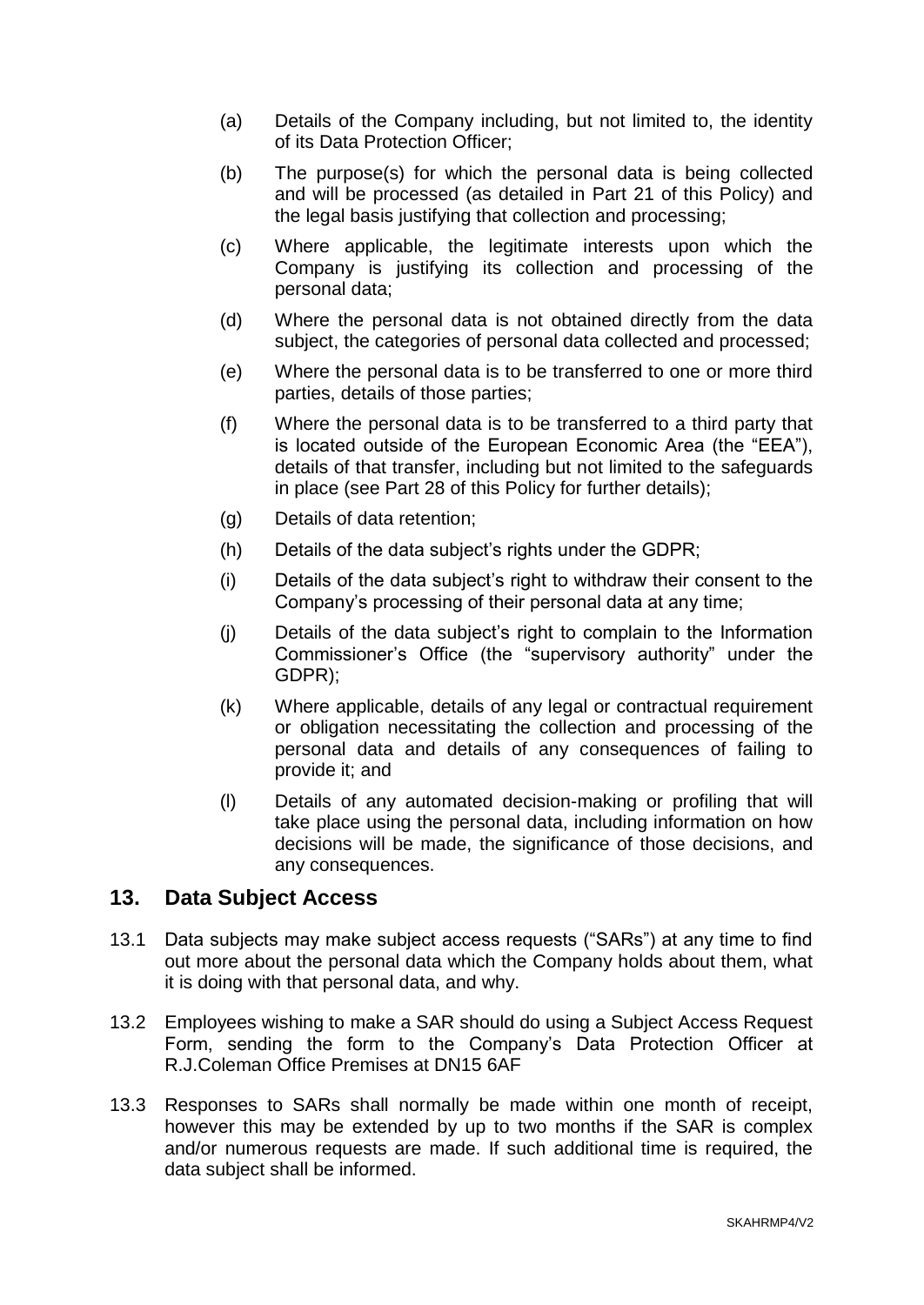- (a) Details of the Company including, but not limited to, the identity of its Data Protection Officer;
- (b) The purpose(s) for which the personal data is being collected and will be processed (as detailed in Part 21 of this Policy) and the legal basis justifying that collection and processing;
- (c) Where applicable, the legitimate interests upon which the Company is justifying its collection and processing of the personal data;
- (d) Where the personal data is not obtained directly from the data subject, the categories of personal data collected and processed;
- (e) Where the personal data is to be transferred to one or more third parties, details of those parties;
- (f) Where the personal data is to be transferred to a third party that is located outside of the European Economic Area (the "EEA"), details of that transfer, including but not limited to the safeguards in place (see Part 28 of this Policy for further details);
- (g) Details of data retention;
- (h) Details of the data subject's rights under the GDPR;
- (i) Details of the data subject's right to withdraw their consent to the Company's processing of their personal data at any time;
- (j) Details of the data subject's right to complain to the Information Commissioner's Office (the "supervisory authority" under the GDPR);
- (k) Where applicable, details of any legal or contractual requirement or obligation necessitating the collection and processing of the personal data and details of any consequences of failing to provide it; and
- (l) Details of any automated decision-making or profiling that will take place using the personal data, including information on how decisions will be made, the significance of those decisions, and any consequences.

# **13. Data Subject Access**

- 13.1 Data subjects may make subject access requests ("SARs") at any time to find out more about the personal data which the Company holds about them, what it is doing with that personal data, and why.
- 13.2 Employees wishing to make a SAR should do using a Subject Access Request Form, sending the form to the Company's Data Protection Officer at R.J.Coleman Office Premises at DN15 6AF
- 13.3 Responses to SARs shall normally be made within one month of receipt, however this may be extended by up to two months if the SAR is complex and/or numerous requests are made. If such additional time is required, the data subject shall be informed.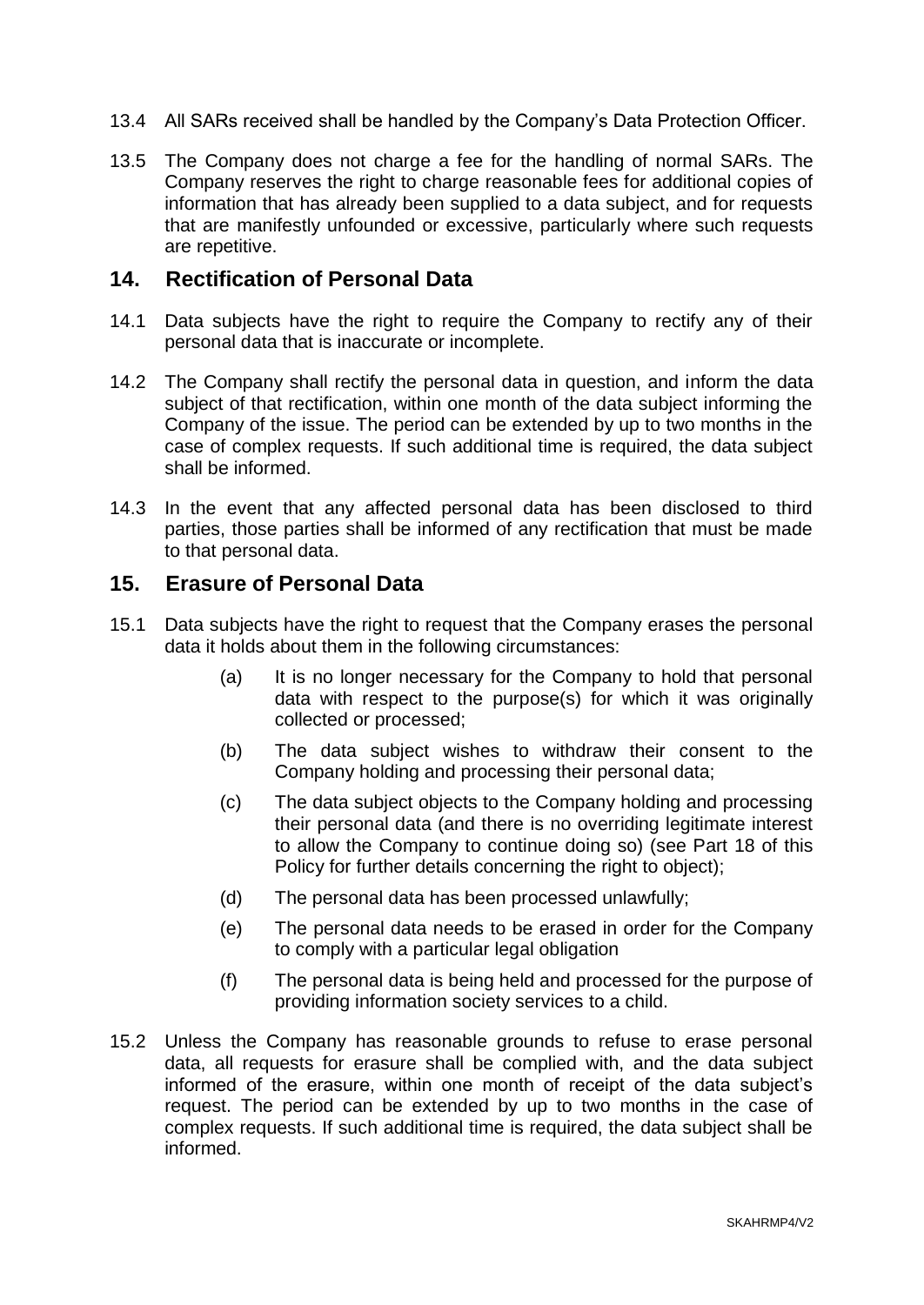- 13.4 All SARs received shall be handled by the Company's Data Protection Officer.
- 13.5 The Company does not charge a fee for the handling of normal SARs. The Company reserves the right to charge reasonable fees for additional copies of information that has already been supplied to a data subject, and for requests that are manifestly unfounded or excessive, particularly where such requests are repetitive.

#### **14. Rectification of Personal Data**

- 14.1 Data subjects have the right to require the Company to rectify any of their personal data that is inaccurate or incomplete.
- 14.2 The Company shall rectify the personal data in question, and inform the data subject of that rectification, within one month of the data subject informing the Company of the issue. The period can be extended by up to two months in the case of complex requests. If such additional time is required, the data subject shall be informed.
- 14.3 In the event that any affected personal data has been disclosed to third parties, those parties shall be informed of any rectification that must be made to that personal data.

#### **15. Erasure of Personal Data**

- 15.1 Data subjects have the right to request that the Company erases the personal data it holds about them in the following circumstances:
	- (a) It is no longer necessary for the Company to hold that personal data with respect to the purpose(s) for which it was originally collected or processed;
	- (b) The data subject wishes to withdraw their consent to the Company holding and processing their personal data;
	- (c) The data subject objects to the Company holding and processing their personal data (and there is no overriding legitimate interest to allow the Company to continue doing so) (see Part 18 of this Policy for further details concerning the right to object);
	- (d) The personal data has been processed unlawfully;
	- (e) The personal data needs to be erased in order for the Company to comply with a particular legal obligation
	- (f) The personal data is being held and processed for the purpose of providing information society services to a child.
- 15.2 Unless the Company has reasonable grounds to refuse to erase personal data, all requests for erasure shall be complied with, and the data subject informed of the erasure, within one month of receipt of the data subject's request. The period can be extended by up to two months in the case of complex requests. If such additional time is required, the data subject shall be informed.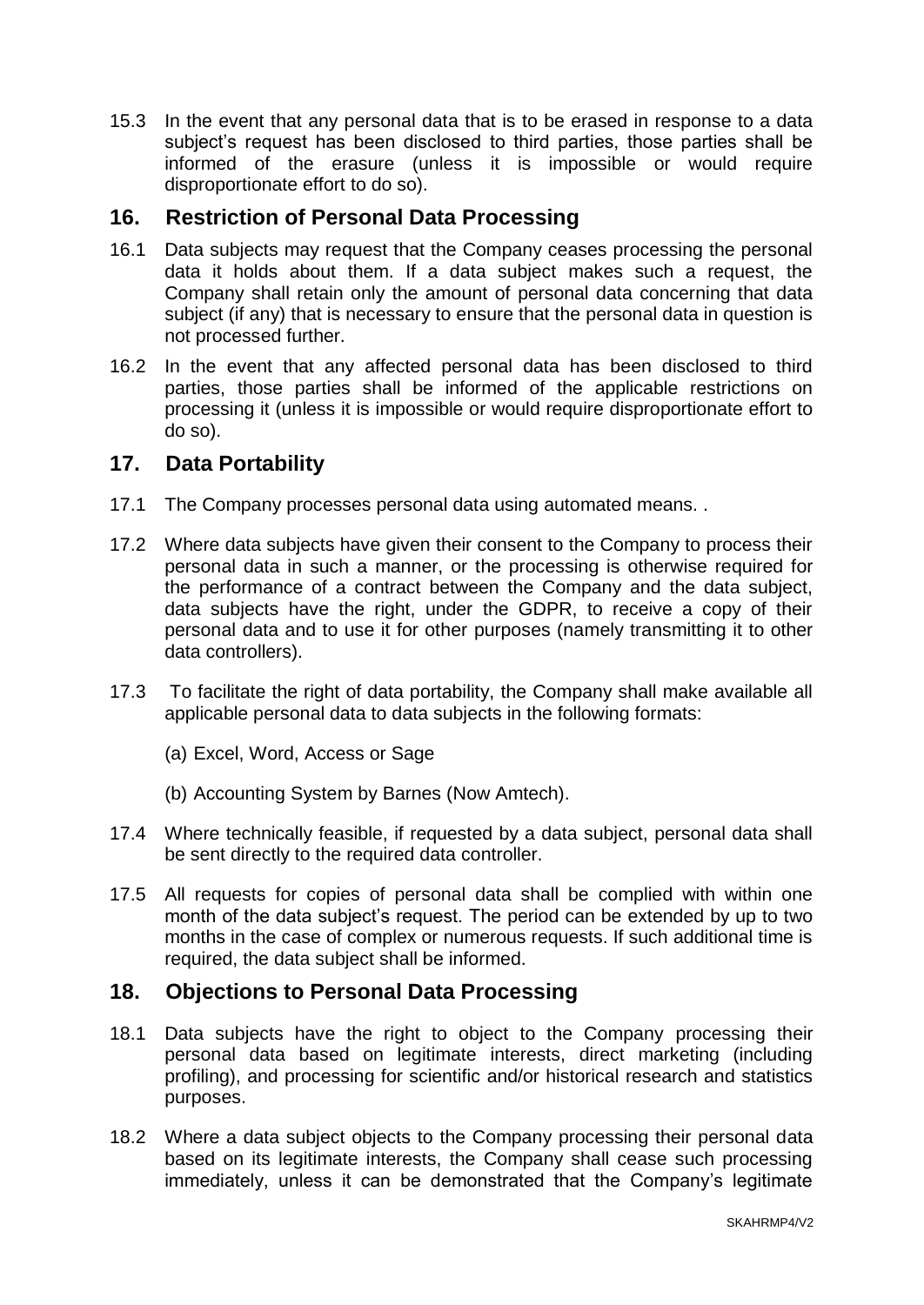15.3 In the event that any personal data that is to be erased in response to a data subject's request has been disclosed to third parties, those parties shall be informed of the erasure (unless it is impossible or would require disproportionate effort to do so).

## **16. Restriction of Personal Data Processing**

- 16.1 Data subjects may request that the Company ceases processing the personal data it holds about them. If a data subject makes such a request, the Company shall retain only the amount of personal data concerning that data subject (if any) that is necessary to ensure that the personal data in question is not processed further.
- 16.2 In the event that any affected personal data has been disclosed to third parties, those parties shall be informed of the applicable restrictions on processing it (unless it is impossible or would require disproportionate effort to do so).

#### **17. Data Portability**

- 17.1 The Company processes personal data using automated means. .
- 17.2 Where data subjects have given their consent to the Company to process their personal data in such a manner, or the processing is otherwise required for the performance of a contract between the Company and the data subject, data subjects have the right, under the GDPR, to receive a copy of their personal data and to use it for other purposes (namely transmitting it to other data controllers).
- 17.3 To facilitate the right of data portability, the Company shall make available all applicable personal data to data subjects in the following formats:
	- (a) Excel, Word, Access or Sage
	- (b) Accounting System by Barnes (Now Amtech).
- 17.4 Where technically feasible, if requested by a data subject, personal data shall be sent directly to the required data controller.
- 17.5 All requests for copies of personal data shall be complied with within one month of the data subject's request. The period can be extended by up to two months in the case of complex or numerous requests. If such additional time is required, the data subject shall be informed.

#### **18. Objections to Personal Data Processing**

- 18.1 Data subjects have the right to object to the Company processing their personal data based on legitimate interests, direct marketing (including profiling), and processing for scientific and/or historical research and statistics purposes.
- 18.2 Where a data subject objects to the Company processing their personal data based on its legitimate interests, the Company shall cease such processing immediately, unless it can be demonstrated that the Company's legitimate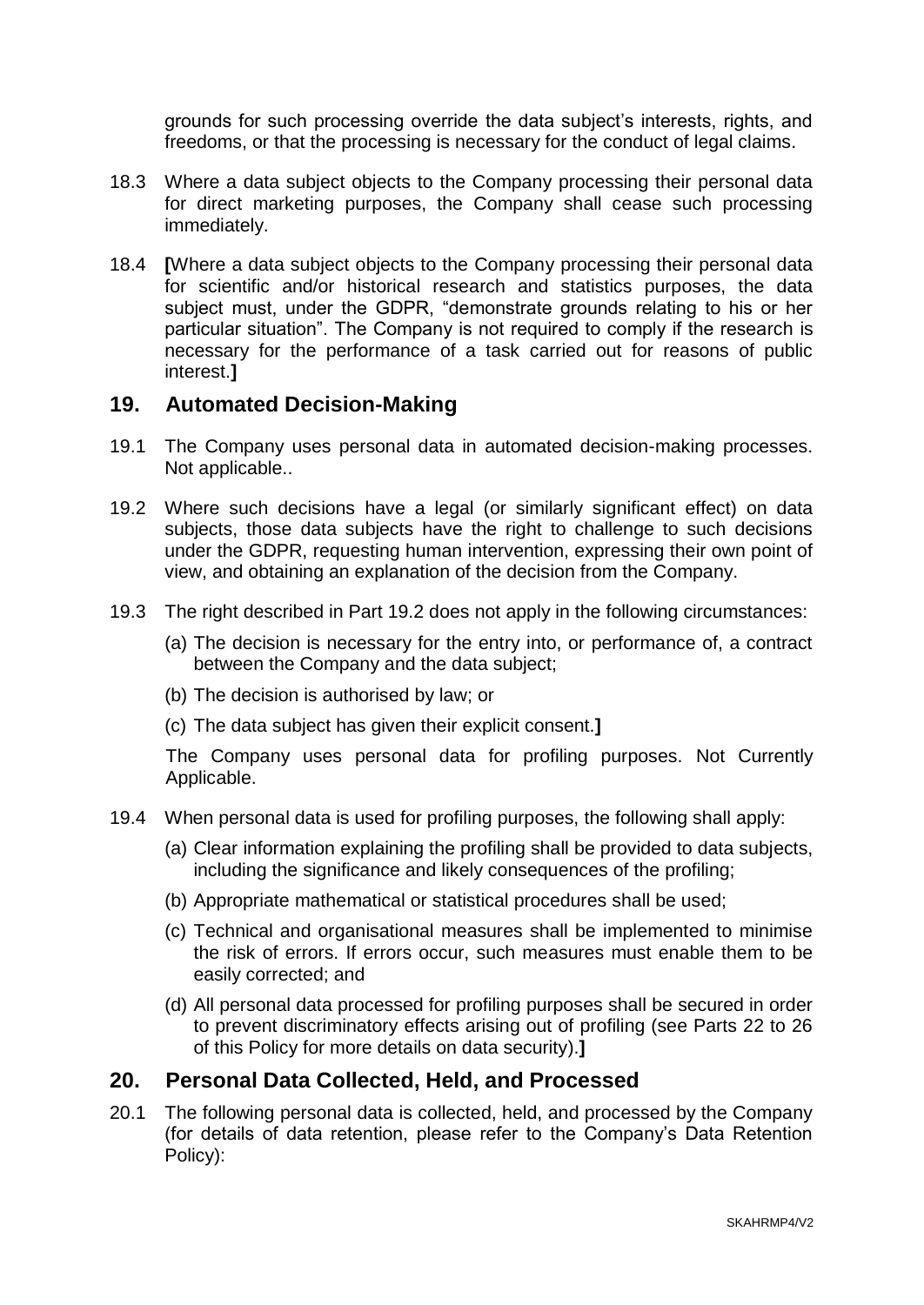grounds for such processing override the data subject's interests, rights, and freedoms, or that the processing is necessary for the conduct of legal claims.

- 18.3 Where a data subject objects to the Company processing their personal data for direct marketing purposes, the Company shall cease such processing immediately.
- 18.4 **[**Where a data subject objects to the Company processing their personal data for scientific and/or historical research and statistics purposes, the data subject must, under the GDPR, "demonstrate grounds relating to his or her particular situation". The Company is not required to comply if the research is necessary for the performance of a task carried out for reasons of public interest.**]**

#### **19. Automated Decision-Making**

- 19.1 The Company uses personal data in automated decision-making processes. Not applicable..
- 19.2 Where such decisions have a legal (or similarly significant effect) on data subjects, those data subjects have the right to challenge to such decisions under the GDPR, requesting human intervention, expressing their own point of view, and obtaining an explanation of the decision from the Company.
- 19.3 The right described in Part 19.2 does not apply in the following circumstances:
	- (a) The decision is necessary for the entry into, or performance of, a contract between the Company and the data subject;
	- (b) The decision is authorised by law; or
	- (c) The data subject has given their explicit consent.**]**

The Company uses personal data for profiling purposes. Not Currently Applicable.

- 19.4 When personal data is used for profiling purposes, the following shall apply:
	- (a) Clear information explaining the profiling shall be provided to data subjects, including the significance and likely consequences of the profiling;
	- (b) Appropriate mathematical or statistical procedures shall be used;
	- (c) Technical and organisational measures shall be implemented to minimise the risk of errors. If errors occur, such measures must enable them to be easily corrected; and
	- (d) All personal data processed for profiling purposes shall be secured in order to prevent discriminatory effects arising out of profiling (see Parts 22 to 26 of this Policy for more details on data security).**]**

#### **20. Personal Data Collected, Held, and Processed**

20.1 The following personal data is collected, held, and processed by the Company (for details of data retention, please refer to the Company's Data Retention Policy):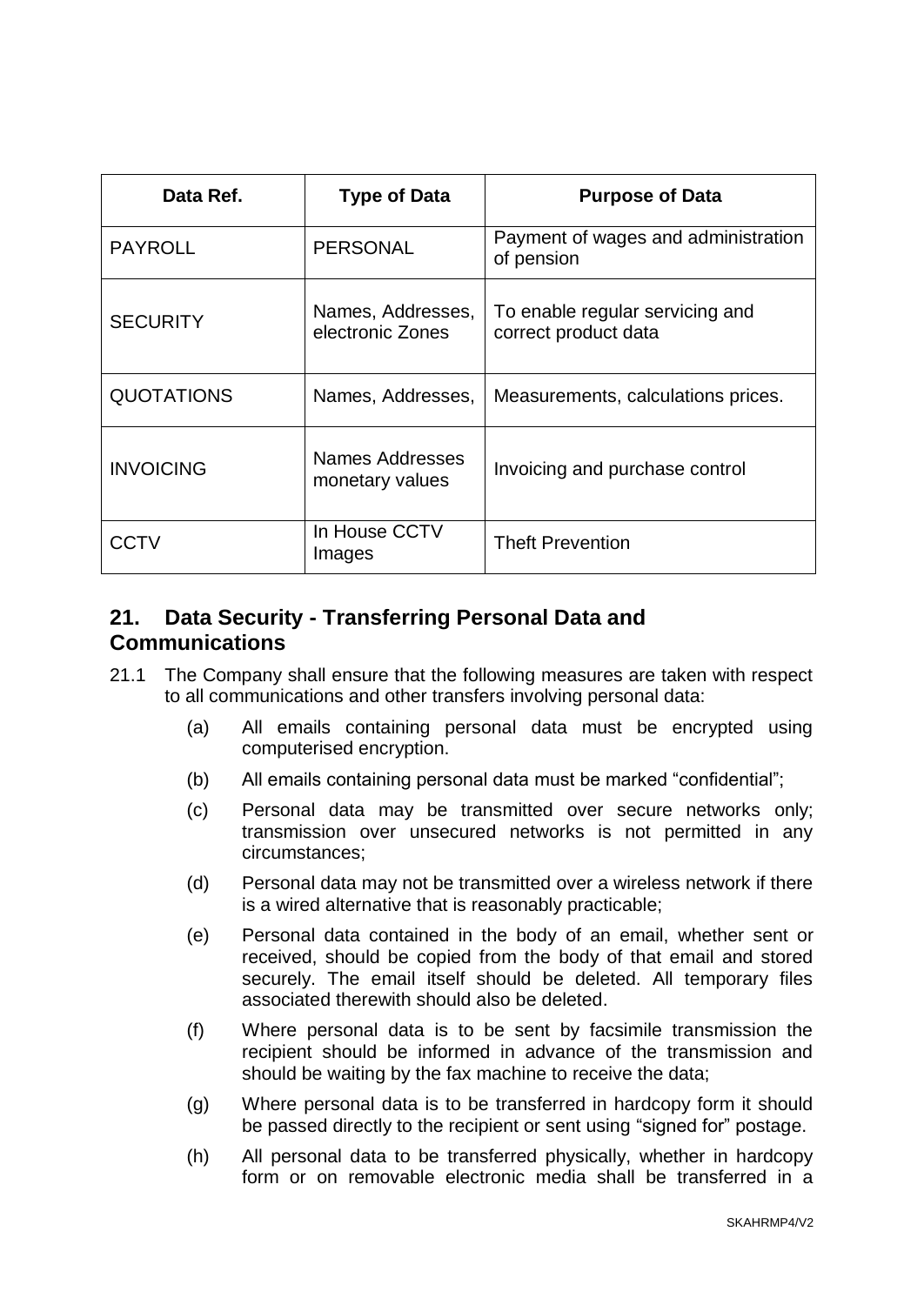| Data Ref.         | <b>Type of Data</b>                   | <b>Purpose of Data</b>                                  |
|-------------------|---------------------------------------|---------------------------------------------------------|
| <b>PAYROLL</b>    | <b>PERSONAL</b>                       | Payment of wages and administration<br>of pension       |
| <b>SECURITY</b>   | Names, Addresses,<br>electronic Zones | To enable regular servicing and<br>correct product data |
| <b>QUOTATIONS</b> | Names, Addresses,                     | Measurements, calculations prices.                      |
| <b>INVOICING</b>  | Names Addresses<br>monetary values    | Invoicing and purchase control                          |
| CCTV              | In House CCTV<br>Images               | <b>Theft Prevention</b>                                 |

# **21. Data Security - Transferring Personal Data and Communications**

- 21.1 The Company shall ensure that the following measures are taken with respect to all communications and other transfers involving personal data:
	- (a) All emails containing personal data must be encrypted using computerised encryption.
	- (b) All emails containing personal data must be marked "confidential";
	- (c) Personal data may be transmitted over secure networks only; transmission over unsecured networks is not permitted in any circumstances;
	- (d) Personal data may not be transmitted over a wireless network if there is a wired alternative that is reasonably practicable;
	- (e) Personal data contained in the body of an email, whether sent or received, should be copied from the body of that email and stored securely. The email itself should be deleted. All temporary files associated therewith should also be deleted.
	- (f) Where personal data is to be sent by facsimile transmission the recipient should be informed in advance of the transmission and should be waiting by the fax machine to receive the data;
	- (g) Where personal data is to be transferred in hardcopy form it should be passed directly to the recipient or sent using "signed for" postage.
	- (h) All personal data to be transferred physically, whether in hardcopy form or on removable electronic media shall be transferred in a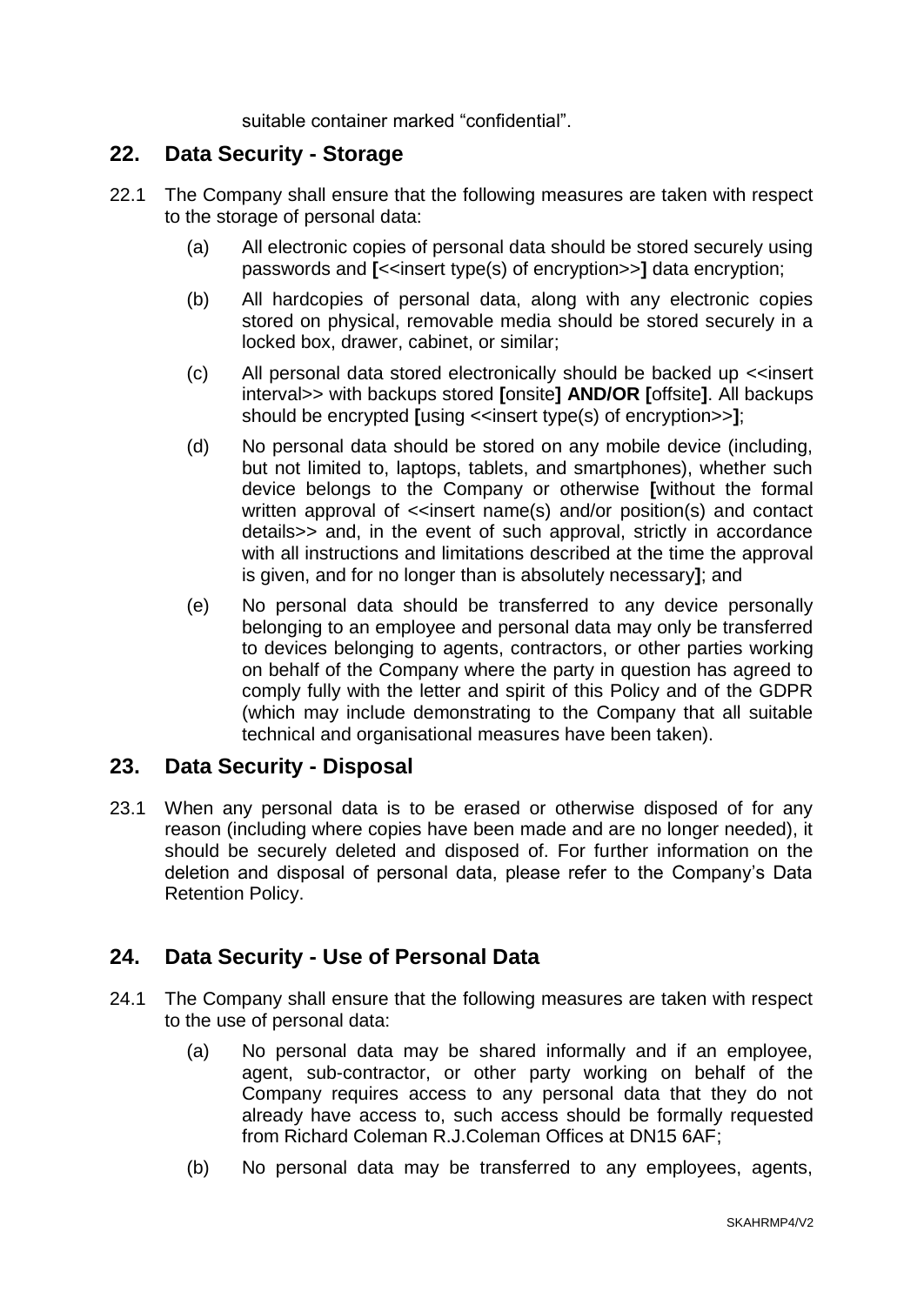suitable container marked "confidential".

#### **22. Data Security - Storage**

- 22.1 The Company shall ensure that the following measures are taken with respect to the storage of personal data:
	- (a) All electronic copies of personal data should be stored securely using passwords and **[**<<insert type(s) of encryption>>**]** data encryption;
	- (b) All hardcopies of personal data, along with any electronic copies stored on physical, removable media should be stored securely in a locked box, drawer, cabinet, or similar;
	- (c) All personal data stored electronically should be backed up <<insert interval>> with backups stored **[**onsite**] AND/OR [**offsite**]**. All backups should be encrypted **[using <<insert type(s)** of encryption>>**]**;
	- (d) No personal data should be stored on any mobile device (including, but not limited to, laptops, tablets, and smartphones), whether such device belongs to the Company or otherwise **[**without the formal written approval of <<insert name(s) and/or position(s) and contact details>> and, in the event of such approval, strictly in accordance with all instructions and limitations described at the time the approval is given, and for no longer than is absolutely necessary**]**; and
	- (e) No personal data should be transferred to any device personally belonging to an employee and personal data may only be transferred to devices belonging to agents, contractors, or other parties working on behalf of the Company where the party in question has agreed to comply fully with the letter and spirit of this Policy and of the GDPR (which may include demonstrating to the Company that all suitable technical and organisational measures have been taken).

#### **23. Data Security - Disposal**

23.1 When any personal data is to be erased or otherwise disposed of for any reason (including where copies have been made and are no longer needed), it should be securely deleted and disposed of. For further information on the deletion and disposal of personal data, please refer to the Company's Data Retention Policy.

# **24. Data Security - Use of Personal Data**

- 24.1 The Company shall ensure that the following measures are taken with respect to the use of personal data:
	- (a) No personal data may be shared informally and if an employee, agent, sub-contractor, or other party working on behalf of the Company requires access to any personal data that they do not already have access to, such access should be formally requested from Richard Coleman R.J.Coleman Offices at DN15 6AF;
	- (b) No personal data may be transferred to any employees, agents,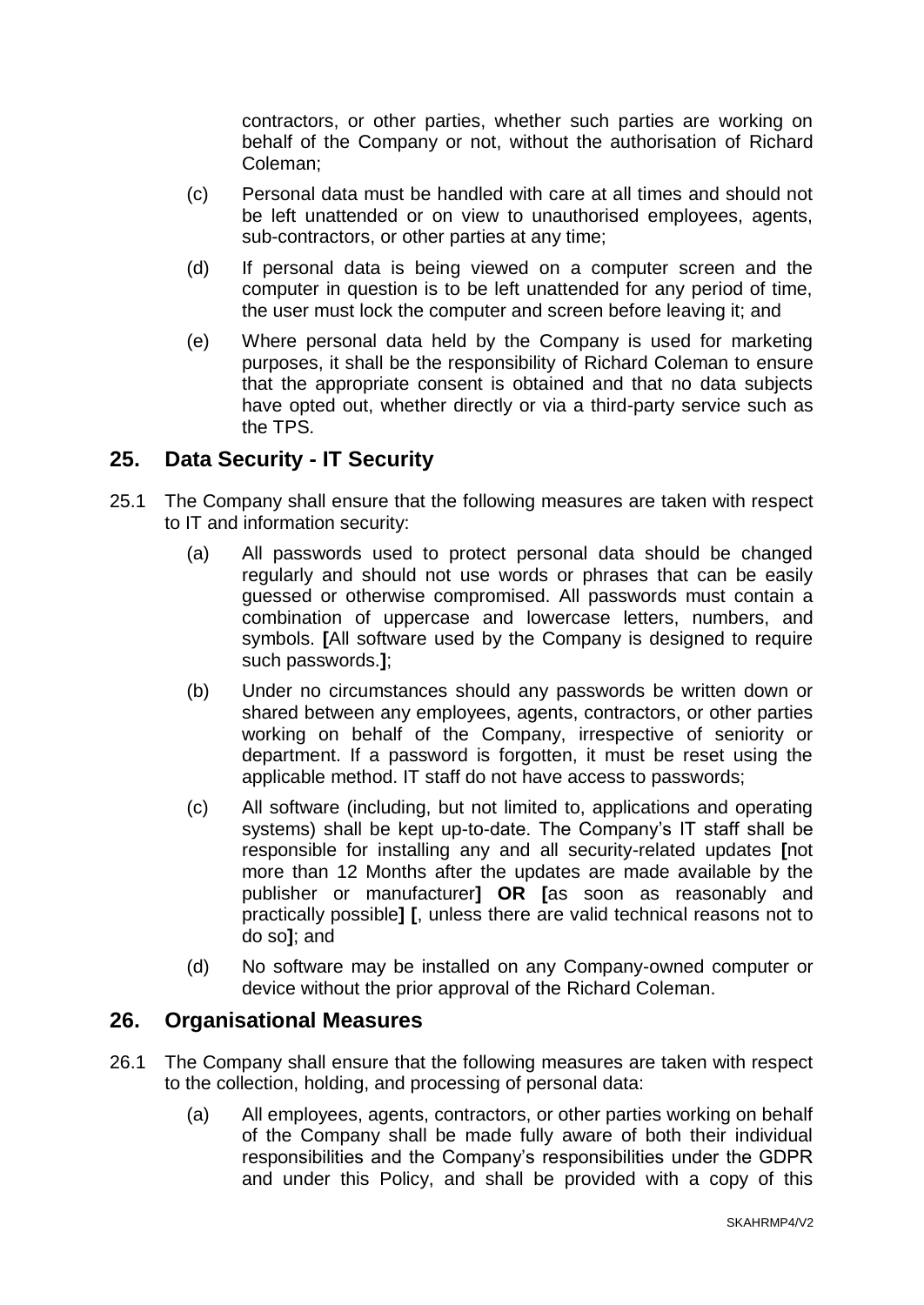contractors, or other parties, whether such parties are working on behalf of the Company or not, without the authorisation of Richard Coleman;

- (c) Personal data must be handled with care at all times and should not be left unattended or on view to unauthorised employees, agents, sub-contractors, or other parties at any time;
- (d) If personal data is being viewed on a computer screen and the computer in question is to be left unattended for any period of time, the user must lock the computer and screen before leaving it; and
- (e) Where personal data held by the Company is used for marketing purposes, it shall be the responsibility of Richard Coleman to ensure that the appropriate consent is obtained and that no data subjects have opted out, whether directly or via a third-party service such as the TPS.

### **25. Data Security - IT Security**

- 25.1 The Company shall ensure that the following measures are taken with respect to IT and information security:
	- (a) All passwords used to protect personal data should be changed regularly and should not use words or phrases that can be easily guessed or otherwise compromised. All passwords must contain a combination of uppercase and lowercase letters, numbers, and symbols. **[**All software used by the Company is designed to require such passwords.**]**;
	- (b) Under no circumstances should any passwords be written down or shared between any employees, agents, contractors, or other parties working on behalf of the Company, irrespective of seniority or department. If a password is forgotten, it must be reset using the applicable method. IT staff do not have access to passwords;
	- (c) All software (including, but not limited to, applications and operating systems) shall be kept up-to-date. The Company's IT staff shall be responsible for installing any and all security-related updates **[**not more than 12 Months after the updates are made available by the publisher or manufacturer**] OR [**as soon as reasonably and practically possible**] [**, unless there are valid technical reasons not to do so**]**; and
	- (d) No software may be installed on any Company-owned computer or device without the prior approval of the Richard Coleman.

#### **26. Organisational Measures**

- 26.1 The Company shall ensure that the following measures are taken with respect to the collection, holding, and processing of personal data:
	- (a) All employees, agents, contractors, or other parties working on behalf of the Company shall be made fully aware of both their individual responsibilities and the Company's responsibilities under the GDPR and under this Policy, and shall be provided with a copy of this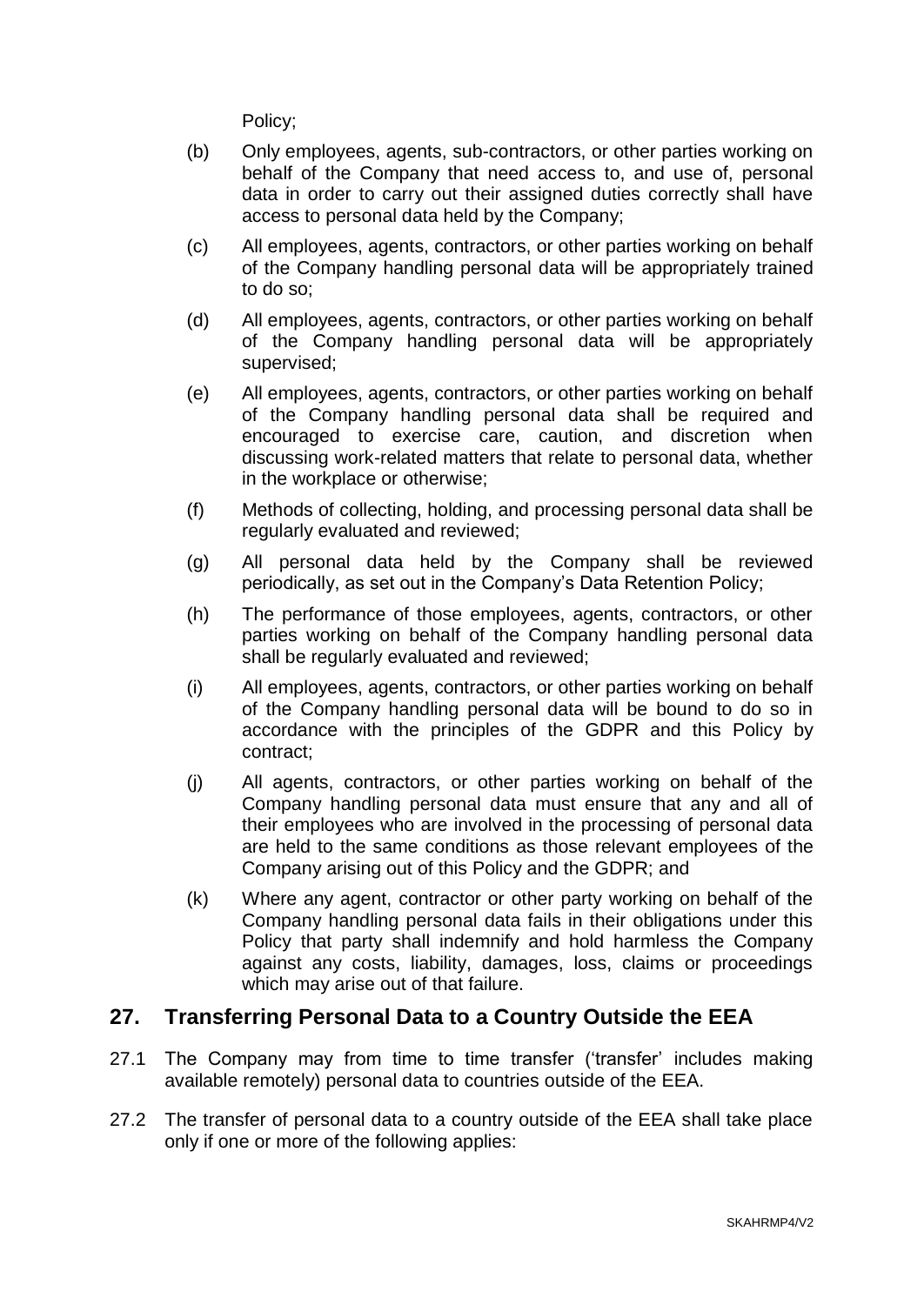Policy;

- (b) Only employees, agents, sub-contractors, or other parties working on behalf of the Company that need access to, and use of, personal data in order to carry out their assigned duties correctly shall have access to personal data held by the Company;
- (c) All employees, agents, contractors, or other parties working on behalf of the Company handling personal data will be appropriately trained to do so;
- (d) All employees, agents, contractors, or other parties working on behalf of the Company handling personal data will be appropriately supervised;
- (e) All employees, agents, contractors, or other parties working on behalf of the Company handling personal data shall be required and encouraged to exercise care, caution, and discretion when discussing work-related matters that relate to personal data, whether in the workplace or otherwise;
- (f) Methods of collecting, holding, and processing personal data shall be regularly evaluated and reviewed;
- (g) All personal data held by the Company shall be reviewed periodically, as set out in the Company's Data Retention Policy;
- (h) The performance of those employees, agents, contractors, or other parties working on behalf of the Company handling personal data shall be regularly evaluated and reviewed;
- (i) All employees, agents, contractors, or other parties working on behalf of the Company handling personal data will be bound to do so in accordance with the principles of the GDPR and this Policy by contract;
- (j) All agents, contractors, or other parties working on behalf of the Company handling personal data must ensure that any and all of their employees who are involved in the processing of personal data are held to the same conditions as those relevant employees of the Company arising out of this Policy and the GDPR; and
- (k) Where any agent, contractor or other party working on behalf of the Company handling personal data fails in their obligations under this Policy that party shall indemnify and hold harmless the Company against any costs, liability, damages, loss, claims or proceedings which may arise out of that failure.

# **27. Transferring Personal Data to a Country Outside the EEA**

- 27.1 The Company may from time to time transfer ('transfer' includes making available remotely) personal data to countries outside of the EEA.
- 27.2 The transfer of personal data to a country outside of the EEA shall take place only if one or more of the following applies: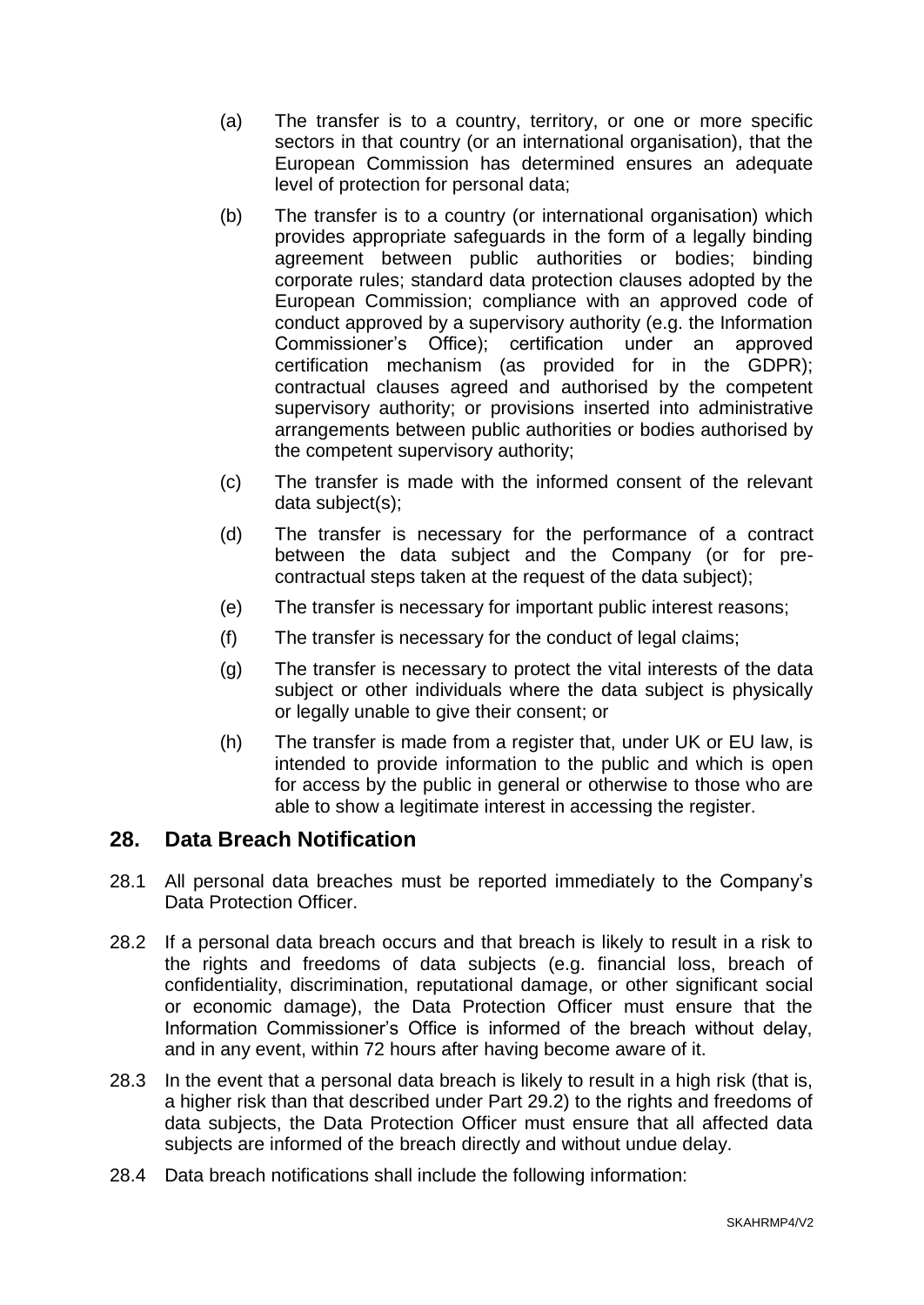- (a) The transfer is to a country, territory, or one or more specific sectors in that country (or an international organisation), that the European Commission has determined ensures an adequate level of protection for personal data;
- (b) The transfer is to a country (or international organisation) which provides appropriate safeguards in the form of a legally binding agreement between public authorities or bodies; binding corporate rules; standard data protection clauses adopted by the European Commission; compliance with an approved code of conduct approved by a supervisory authority (e.g. the Information Commissioner's Office); certification under an approved certification mechanism (as provided for in the GDPR); contractual clauses agreed and authorised by the competent supervisory authority; or provisions inserted into administrative arrangements between public authorities or bodies authorised by the competent supervisory authority;
- (c) The transfer is made with the informed consent of the relevant data subject(s):
- (d) The transfer is necessary for the performance of a contract between the data subject and the Company (or for precontractual steps taken at the request of the data subject);
- (e) The transfer is necessary for important public interest reasons;
- (f) The transfer is necessary for the conduct of legal claims;
- (g) The transfer is necessary to protect the vital interests of the data subject or other individuals where the data subject is physically or legally unable to give their consent; or
- (h) The transfer is made from a register that, under UK or EU law, is intended to provide information to the public and which is open for access by the public in general or otherwise to those who are able to show a legitimate interest in accessing the register.

# **28. Data Breach Notification**

- 28.1 All personal data breaches must be reported immediately to the Company's Data Protection Officer.
- 28.2 If a personal data breach occurs and that breach is likely to result in a risk to the rights and freedoms of data subjects (e.g. financial loss, breach of confidentiality, discrimination, reputational damage, or other significant social or economic damage), the Data Protection Officer must ensure that the Information Commissioner's Office is informed of the breach without delay, and in any event, within 72 hours after having become aware of it.
- 28.3 In the event that a personal data breach is likely to result in a high risk (that is, a higher risk than that described under Part 29.2) to the rights and freedoms of data subjects, the Data Protection Officer must ensure that all affected data subjects are informed of the breach directly and without undue delay.
- 28.4 Data breach notifications shall include the following information: